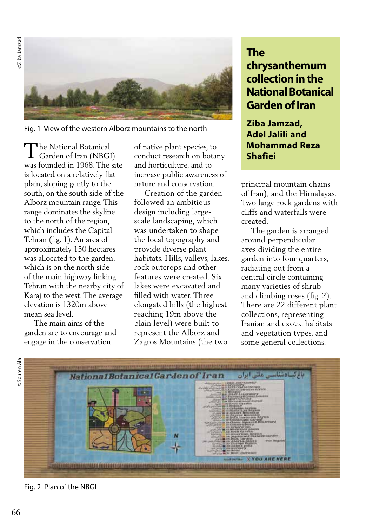**DEZunel** ediZe ©Ziba Jamzad



Fig. 1 View of the western Alborz mountains to the north

he National Botanical The National Botanical<br>Garden of Iran (NBGI) was founded in 1968. The site is located on a relatively flat plain, sloping gently to the south, on the south side of the Alborz mountain range. This range dominates the skyline to the north of the region, which includes the Capital Tehran (fig. 1). An area of approximately 150 hectares was allocated to the garden, which is on the north side of the main highway linking Tehran with the nearby city of Karaj to the west. The average elevation is 1320m above mean sea level.

 The main aims of the garden are to encourage and engage in the conservation

of native plant species, to conduct research on botany and horticulture, and to increase public awareness of nature and conservation.

 Creation of the garden followed an ambitious design including largescale landscaping, which was undertaken to shape the local topography and provide diverse plant habitats. Hills, valleys, lakes, rock outcrops and other features were created. Six lakes were excavated and filled with water. Three elongated hills (the highest reaching 19m above the plain level) were built to represent the Alborz and Zagros Mountains (the two

## **The chrysanthemum collection in the National Botanical Garden of Iran**

**Ziba Jamzad, Adel Jalili and Mohammad Reza Shafiei**

principal mountain chains of Iran), and the Himalayas. Two large rock gardens with cliffs and waterfalls were created.

 The garden is arranged around perpendicular axes dividing the entire garden into four quarters, radiating out from a central circle containing many varieties of shrub and climbing roses (fig. 2). There are 22 different plant collections, representing Iranian and exotic habitats and vegetation types, and some general collections.



Fig. 2 Plan of the NBGI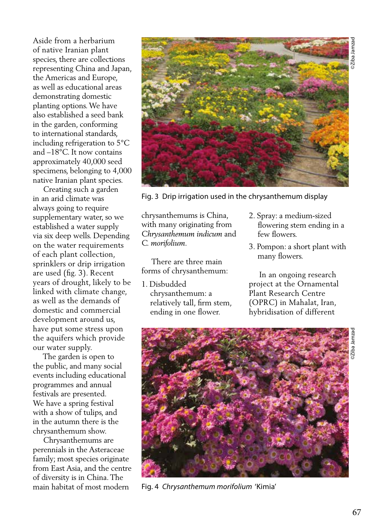Aside from a herbarium of native Iranian plant species, there are collections representing China and Japan, the Americas and Europe, as well as educational areas demonstrating domestic planting options. We have also established a seed bank in the garden, conforming to international standards, including refrigeration to 5°C and –18°C. It now contains approximately 40,000 seed specimens, belonging to 4,000 native Iranian plant species.

 Creating such a garden in an arid climate was always going to require supplementary water, so we established a water supply via six deep wells. Depending on the water requirements of each plant collection, sprinklers or drip irrigation are used (fig. 3). Recent years of drought, likely to be linked with climate change, as well as the demands of domestic and commercial development around us, have put some stress upon the aquifers which provide our water supply.

 The garden is open to the public, and many social events including educational programmes and annual festivals are presented. We have a spring festival with a show of tulips, and in the autumn there is the chrysanthemum show.

 Chrysanthemums are perennials in the Asteraceae family; most species originate from East Asia, and the centre of diversity is in China. The main habitat of most modern



Fig. 3 Drip irrigation used in the chrysanthemum display

chrysanthemums is China, with many originating from *Chrysanthemum indicum* and *C. morifolium*.

 There are three main forms of chrysanthemum:

- 1. Disbudded chrysanthemum: a relatively tall, firm stem, ending in one flower.
- 2. Spray: a medium-sized flowering stem ending in a few flowers.
- 3. Pompon: a short plant with many flowers.

 In an ongoing research project at the Ornamental Plant Research Centre (OPRC) in Mahalat, Iran, hybridisation of different



Fig. 4 *Chrysanthemum morifolium* 'Kimia'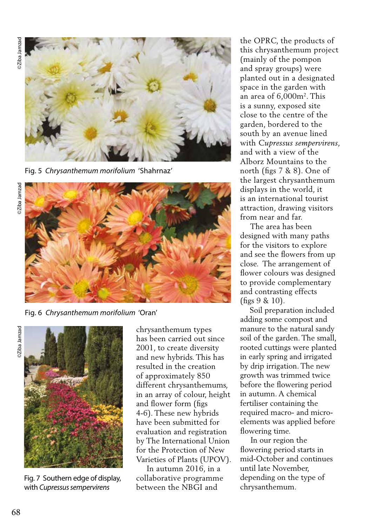©Ziba Jamzad **2Ziba Jamza** 



Fig. 5 *Chrysanthemum morifolium* 'Shahrnaz'



Fig. 6 *Chrysanthemum morifolium* 'Oran'

**DESMEL** BQIZG ©Ziba Jamzad



Fig. 7 Southern edge of display, with *Cupressus sempervirens*

chrysanthemum types has been carried out since 2001, to create diversity and new hybrids. This has resulted in the creation of approximately 850 different chrysanthemums, in an array of colour, height and flower form (figs 4-6). These new hybrids have been submitted for evaluation and registration by The International Union for the Protection of New Varieties of Plants (UPOV).

 In autumn 2016, in a collaborative programme between the NBGI and

the OPRC, the products of this chrysanthemum project (mainly of the pompon and spray groups) were planted out in a designated space in the garden with an area of 6,000m2. This is a sunny, exposed site close to the centre of the garden, bordered to the south by an avenue lined with *Cupressus sempervirens*, and with a view of the Alborz Mountains to the north (figs 7 & 8). One of the largest chrysanthemum displays in the world, it is an international tourist attraction, drawing visitors from near and far.

 The area has been designed with many paths for the visitors to explore and see the flowers from up close. The arrangement of flower colours was designed to provide complementary and contrasting effects (figs 9 & 10).

 Soil preparation included adding some compost and manure to the natural sandy soil of the garden. The small, rooted cuttings were planted in early spring and irrigated by drip irrigation. The new growth was trimmed twice before the flowering period in autumn. A chemical fertiliser containing the required macro- and microelements was applied before flowering time.

 In our region the flowering period starts in mid-October and continues until late November, depending on the type of chrysanthemum.